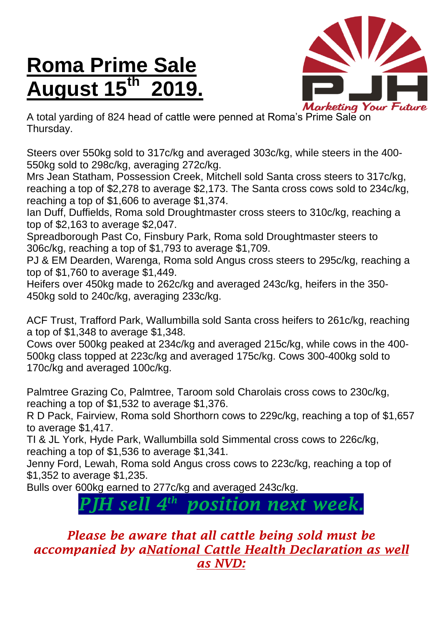## **Roma Prime Sale August 15 th 2019.**



A total yarding of 824 head of cattle were penned at Roma's Prime Sale on Thursday.

Steers over 550kg sold to 317c/kg and averaged 303c/kg, while steers in the 400- 550kg sold to 298c/kg, averaging 272c/kg.

Mrs Jean Statham, Possession Creek, Mitchell sold Santa cross steers to 317c/kg, reaching a top of \$2,278 to average \$2,173. The Santa cross cows sold to 234c/kg, reaching a top of \$1,606 to average \$1,374.

Ian Duff, Duffields, Roma sold Droughtmaster cross steers to 310c/kg, reaching a top of \$2,163 to average \$2,047.

Spreadborough Past Co, Finsbury Park, Roma sold Droughtmaster steers to 306c/kg, reaching a top of \$1,793 to average \$1,709.

PJ & EM Dearden, Warenga, Roma sold Angus cross steers to 295c/kg, reaching a top of \$1,760 to average \$1,449.

Heifers over 450kg made to 262c/kg and averaged 243c/kg, heifers in the 350- 450kg sold to 240c/kg, averaging 233c/kg.

ACF Trust, Trafford Park, Wallumbilla sold Santa cross heifers to 261c/kg, reaching a top of \$1,348 to average \$1,348.

Cows over 500kg peaked at 234c/kg and averaged 215c/kg, while cows in the 400- 500kg class topped at 223c/kg and averaged 175c/kg. Cows 300-400kg sold to 170c/kg and averaged 100c/kg.

Palmtree Grazing Co, Palmtree, Taroom sold Charolais cross cows to 230c/kg, reaching a top of \$1,532 to average \$1,376.

R D Pack, Fairview, Roma sold Shorthorn cows to 229c/kg, reaching a top of \$1,657 to average \$1,417.

TI & JL York, Hyde Park, Wallumbilla sold Simmental cross cows to 226c/kg, reaching a top of \$1,536 to average \$1,341.

Jenny Ford, Lewah, Roma sold Angus cross cows to 223c/kg, reaching a top of \$1,352 to average \$1,235.

Bulls over 600kg earned to 277c/kg and averaged 243c/kg.

## *PJH sell 4 th position next week.*

## *Please be aware that all cattle being sold must be accompanied by aNational Cattle Health Declaration as well as NVD:*